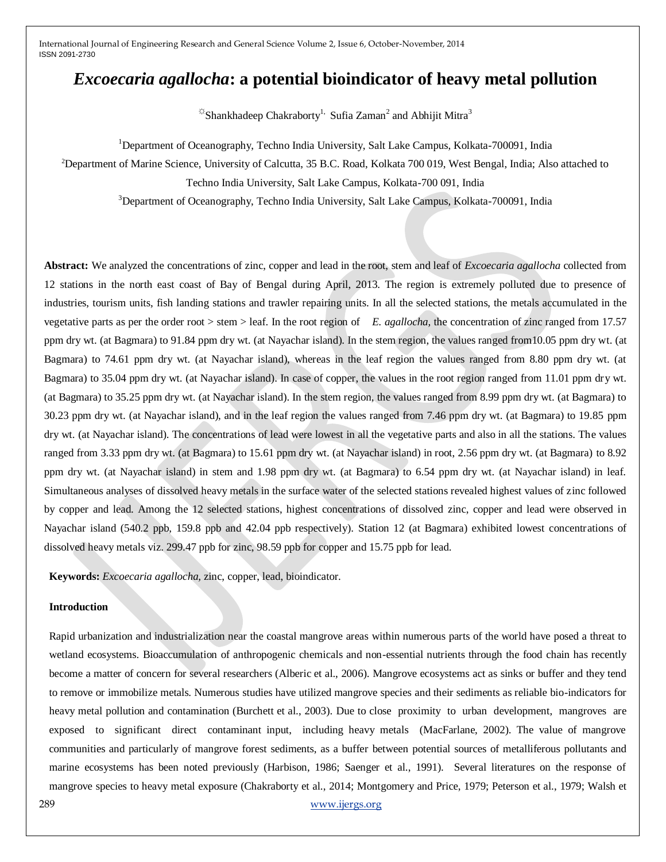# *Excoecaria agallocha***: a potential bioindicator of heavy metal pollution**

 $\frac{1}{2}$ Shankhadeep Chakraborty<sup>1,</sup> Sufia Zaman<sup>2</sup> and Abhijit Mitra<sup>3</sup>

<sup>1</sup>Department of Oceanography, Techno India University, Salt Lake Campus, Kolkata-700091, India

<sup>2</sup>Department of Marine Science, University of Calcutta, 35 B.C. Road, Kolkata 700 019, West Bengal, India; Also attached to

Techno India University, Salt Lake Campus, Kolkata-700 091, India

<sup>3</sup>Department of Oceanography, Techno India University, Salt Lake Campus, Kolkata-700091, India

**Abstract:** We analyzed the concentrations of zinc, copper and lead in the root, stem and leaf of *Excoecaria agallocha* collected from 12 stations in the north east coast of Bay of Bengal during April, 2013. The region is extremely polluted due to presence of industries, tourism units, fish landing stations and trawler repairing units. In all the selected stations, the metals accumulated in the vegetative parts as per the order root > stem > leaf. In the root region of *E. agallocha,* the concentration of zinc ranged from 17.57 ppm dry wt. (at Bagmara) to 91.84 ppm dry wt. (at Nayachar island). In the stem region, the values ranged from10.05 ppm dry wt. (at Bagmara) to 74.61 ppm dry wt. (at Nayachar island), whereas in the leaf region the values ranged from 8.80 ppm dry wt. (at Bagmara) to 35.04 ppm dry wt. (at Nayachar island). In case of copper, the values in the root region ranged from 11.01 ppm dry wt. (at Bagmara) to 35.25 ppm dry wt. (at Nayachar island). In the stem region, the values ranged from 8.99 ppm dry wt. (at Bagmara) to 30.23 ppm dry wt. (at Nayachar island), and in the leaf region the values ranged from 7.46 ppm dry wt. (at Bagmara) to 19.85 ppm dry wt. (at Nayachar island). The concentrations of lead were lowest in all the vegetative parts and also in all the stations. The values ranged from 3.33 ppm dry wt. (at Bagmara) to 15.61 ppm dry wt. (at Nayachar island) in root, 2.56 ppm dry wt. (at Bagmara) to 8.92 ppm dry wt. (at Nayachar island) in stem and 1.98 ppm dry wt. (at Bagmara) to 6.54 ppm dry wt. (at Nayachar island) in leaf. Simultaneous analyses of dissolved heavy metals in the surface water of the selected stations revealed highest values of zinc followed by copper and lead. Among the 12 selected stations, highest concentrations of dissolved zinc, copper and lead were observed in Nayachar island (540.2 ppb, 159.8 ppb and 42.04 ppb respectively). Station 12 (at Bagmara) exhibited lowest concentrations of dissolved heavy metals viz. 299.47 ppb for zinc, 98.59 ppb for copper and 15.75 ppb for lead.

**Keywords:** *Excoecaria agallocha,* zinc, copper, lead, bioindicator.

## **Introduction**

289 [www.ijergs.org](http://www.ijergs.org/) Rapid urbanization and industrialization near the coastal mangrove areas within numerous parts of the world have posed a threat to wetland ecosystems. Bioaccumulation of anthropogenic chemicals and non-essential nutrients through the food chain has recently become a matter of concern for several researchers (Alberic et al., 2006). Mangrove ecosystems act as sinks or buffer and they tend to remove or immobilize metals. Numerous studies have utilized mangrove species and their sediments as reliable bio-indicators for heavy metal pollution and contamination (Burchett et al., 2003). Due to close proximity to urban development, mangroves are exposed to significant direct contaminant input, including heavy metals (MacFarlane, 2002). The value of mangrove communities and particularly of mangrove forest sediments, as a buffer between potential sources of metalliferous pollutants and marine ecosystems has been noted previously (Harbison, 1986; Saenger et al., 1991). Several literatures on the response of mangrove species to heavy metal exposure (Chakraborty et al., 2014; Montgomery and Price, 1979; Peterson et al., 1979; Walsh et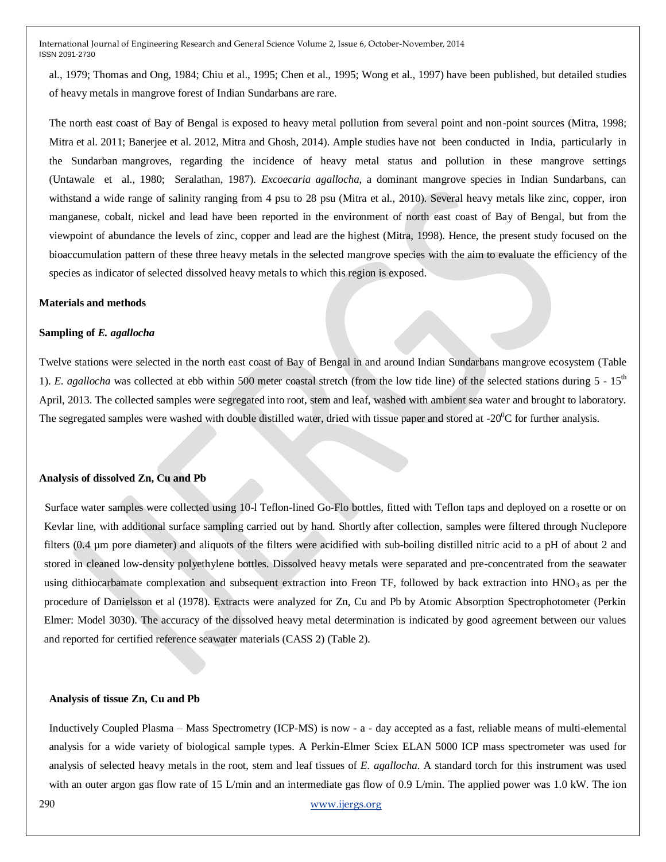al., 1979; Thomas and Ong, 1984; Chiu et al., 1995; Chen et al., 1995; Wong et al., 1997) have been published, but detailed studies of heavy metals in mangrove forest of Indian Sundarbans are rare.

The north east coast of Bay of Bengal is exposed to heavy metal pollution from several point and non-point sources (Mitra, 1998; Mitra et al. 2011; Banerjee et al. 2012, Mitra and Ghosh, 2014). Ample studies have not been conducted in India, particularly in the Sundarban mangroves, regarding the incidence of heavy metal status and pollution in these mangrove settings (Untawale et al., 1980; Seralathan, 1987). *Excoecaria agallocha*, a dominant mangrove species in Indian Sundarbans, can withstand a wide range of salinity ranging from 4 psu to 28 psu (Mitra et al., 2010). Several heavy metals like zinc, copper, iron manganese, cobalt, nickel and lead have been reported in the environment of north east coast of Bay of Bengal, but from the viewpoint of abundance the levels of zinc, copper and lead are the highest (Mitra, 1998). Hence, the present study focused on the bioaccumulation pattern of these three heavy metals in the selected mangrove species with the aim to evaluate the efficiency of the species as indicator of selected dissolved heavy metals to which this region is exposed.

#### **Materials and methods**

#### **Sampling of** *E. agallocha*

Twelve stations were selected in the north east coast of Bay of Bengal in and around Indian Sundarbans mangrove ecosystem (Table 1). *E. agallocha* was collected at ebb within 500 meter coastal stretch (from the low tide line) of the selected stations during 5 - 15th April, 2013. The collected samples were segregated into root, stem and leaf, washed with ambient sea water and brought to laboratory. The segregated samples were washed with double distilled water, dried with tissue paper and stored at  $-20^{\circ}$ C for further analysis.

#### **Analysis of dissolved Zn, Cu and Pb**

 Surface water samples were collected using 10-l Teflon-lined Go-Flo bottles, fitted with Teflon taps and deployed on a rosette or on Kevlar line, with additional surface sampling carried out by hand. Shortly after collection, samples were filtered through Nuclepore filters (0.4 µm pore diameter) and aliquots of the filters were acidified with sub-boiling distilled nitric acid to a pH of about 2 and stored in cleaned low-density polyethylene bottles. Dissolved heavy metals were separated and pre-concentrated from the seawater using dithiocarbamate complexation and subsequent extraction into Freon TF, followed by back extraction into  $HNO<sub>3</sub>$  as per the procedure of Danielsson et al (1978). Extracts were analyzed for Zn, Cu and Pb by Atomic Absorption Spectrophotometer (Perkin Elmer: Model 3030). The accuracy of the dissolved heavy metal determination is indicated by good agreement between our values and reported for certified reference seawater materials (CASS 2) (Table 2).

#### **Analysis of tissue Zn, Cu and Pb**

Inductively Coupled Plasma – Mass Spectrometry (ICP-MS) is now - a - day accepted as a fast, reliable means of multi-elemental analysis for a wide variety of biological sample types. A Perkin-Elmer Sciex ELAN 5000 ICP mass spectrometer was used for analysis of selected heavy metals in the root, stem and leaf tissues of *E. agallocha*. A standard torch for this instrument was used with an outer argon gas flow rate of 15 L/min and an intermediate gas flow of 0.9 L/min. The applied power was 1.0 kW. The ion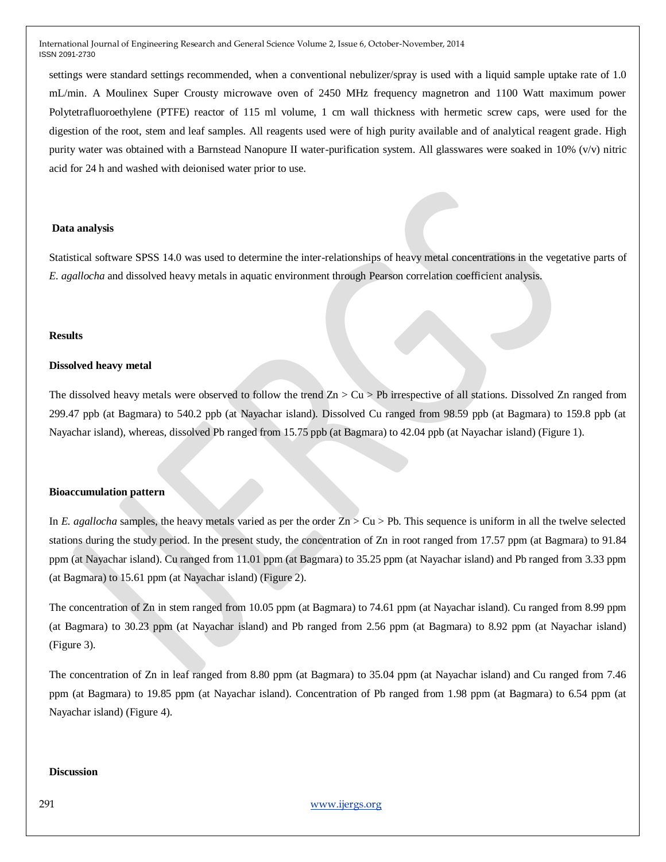settings were standard settings recommended, when a conventional nebulizer/spray is used with a liquid sample uptake rate of 1.0 mL/min. A Moulinex Super Crousty microwave oven of 2450 MHz frequency magnetron and 1100 Watt maximum power Polytetrafluoroethylene (PTFE) reactor of 115 ml volume, 1 cm wall thickness with hermetic screw caps, were used for the digestion of the root, stem and leaf samples. All reagents used were of high purity available and of analytical reagent grade. High purity water was obtained with a Barnstead Nanopure II water-purification system. All glasswares were soaked in 10% (v/v) nitric acid for 24 h and washed with deionised water prior to use.

#### **Data analysis**

Statistical software SPSS 14.0 was used to determine the inter-relationships of heavy metal concentrations in the vegetative parts of *E. agallocha* and dissolved heavy metals in aquatic environment through Pearson correlation coefficient analysis.

#### **Results**

#### **Dissolved heavy metal**

The dissolved heavy metals were observed to follow the trend  $Zn > Cu > Pb$  irrespective of all stations. Dissolved Zn ranged from 299.47 ppb (at Bagmara) to 540.2 ppb (at Nayachar island). Dissolved Cu ranged from 98.59 ppb (at Bagmara) to 159.8 ppb (at Nayachar island), whereas, dissolved Pb ranged from 15.75 ppb (at Bagmara) to 42.04 ppb (at Nayachar island) (Figure 1).

#### **Bioaccumulation pattern**

In *E. agallocha* samples, the heavy metals varied as per the order  $Z_n$  > Cu > Pb. This sequence is uniform in all the twelve selected stations during the study period. In the present study, the concentration of Zn in root ranged from 17.57 ppm (at Bagmara) to 91.84 ppm (at Nayachar island). Cu ranged from 11.01 ppm (at Bagmara) to 35.25 ppm (at Nayachar island) and Pb ranged from 3.33 ppm (at Bagmara) to 15.61 ppm (at Nayachar island) (Figure 2).

The concentration of Zn in stem ranged from 10.05 ppm (at Bagmara) to 74.61 ppm (at Nayachar island). Cu ranged from 8.99 ppm (at Bagmara) to 30.23 ppm (at Nayachar island) and Pb ranged from 2.56 ppm (at Bagmara) to 8.92 ppm (at Nayachar island) (Figure 3).

The concentration of Zn in leaf ranged from 8.80 ppm (at Bagmara) to 35.04 ppm (at Nayachar island) and Cu ranged from 7.46 ppm (at Bagmara) to 19.85 ppm (at Nayachar island). Concentration of Pb ranged from 1.98 ppm (at Bagmara) to 6.54 ppm (at Nayachar island) (Figure 4).

## **Discussion**

291 [www.ijergs.org](http://www.ijergs.org/)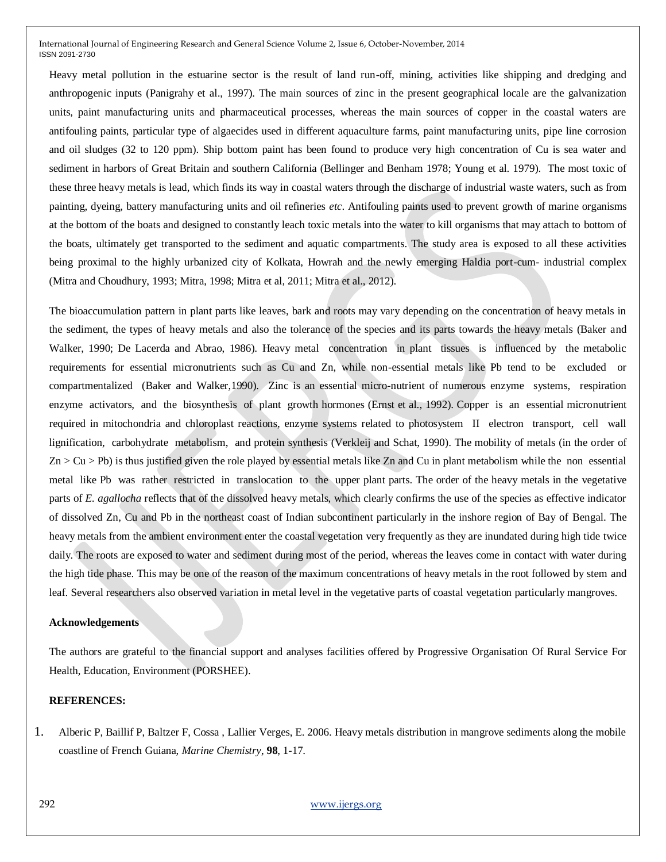Heavy metal pollution in the estuarine sector is the result of land run-off, mining, activities like shipping and dredging and anthropogenic inputs (Panigrahy et al., 1997). The main sources of zinc in the present geographical locale are the galvanization units, paint manufacturing units and pharmaceutical processes, whereas the main sources of copper in the coastal waters are antifouling paints, particular type of algaecides used in different aquaculture farms, paint manufacturing units, pipe line corrosion and oil sludges (32 to 120 ppm). Ship bottom paint has been found to produce very high concentration of Cu is sea water and sediment in harbors of Great Britain and southern California (Bellinger and Benham 1978; Young et al. 1979). The most toxic of these three heavy metals is lead, which finds its way in coastal waters through the discharge of industrial waste waters, such as from painting, dyeing, battery manufacturing units and oil refineries *etc*. Antifouling paints used to prevent growth of marine organisms at the bottom of the boats and designed to constantly leach toxic metals into the water to kill organisms that may attach to bottom of the boats, ultimately get transported to the sediment and aquatic compartments. The study area is exposed to all these activities being proximal to the highly urbanized city of Kolkata, Howrah and the newly emerging Haldia port-cum- industrial complex (Mitra and Choudhury, 1993; Mitra, 1998; Mitra et al, 2011; Mitra et al., 2012).

The bioaccumulation pattern in plant parts like leaves, bark and roots may vary depending on the concentration of heavy metals in the sediment, the types of heavy metals and also the tolerance of the species and its parts towards the heavy metals (Baker and Walker, 1990; De Lacerda and Abrao, 1986). Heavy metal concentration in plant tissues is influenced by the metabolic requirements for essential micronutrients such as Cu and Zn, while non-essential metals like Pb tend to be excluded or compartmentalized (Baker and Walker,1990). Zinc is an essential micro-nutrient of numerous enzyme systems, respiration enzyme activators, and the biosynthesis of plant growth hormones (Ernst et al., 1992). Copper is an essential micronutrient required in mitochondria and chloroplast reactions, enzyme systems related to photosystem II electron transport, cell wall lignification, carbohydrate metabolism, and protein synthesis (Verkleij and Schat, 1990). The mobility of metals (in the order of  $Zn > Cu > Pb$  is thus justified given the role played by essential metals like  $Zn$  and Cu in plant metabolism while the non essential metal like Pb was rather restricted in translocation to the upper plant parts. The order of the heavy metals in the vegetative parts of *E. agallocha* reflects that of the dissolved heavy metals, which clearly confirms the use of the species as effective indicator of dissolved Zn, Cu and Pb in the northeast coast of Indian subcontinent particularly in the inshore region of Bay of Bengal. The heavy metals from the ambient environment enter the coastal vegetation very frequently as they are inundated during high tide twice daily. The roots are exposed to water and sediment during most of the period, whereas the leaves come in contact with water during the high tide phase. This may be one of the reason of the maximum concentrations of heavy metals in the root followed by stem and leaf. Several researchers also observed variation in metal level in the vegetative parts of coastal vegetation particularly mangroves.

#### **Acknowledgements**

The authors are grateful to the financial support and analyses facilities offered by Progressive Organisation Of Rural Service For Health, Education, Environment (PORSHEE).

#### **REFERENCES:**

1. Alberic P, Baillif P, Baltzer F, Cossa , Lallier Verges, E. 2006. Heavy metals distribution in mangrove sediments along the mobile coastline of French Guiana, *Marine Chemistry*, **98**, 1-17.

292 [www.ijergs.org](http://www.ijergs.org/)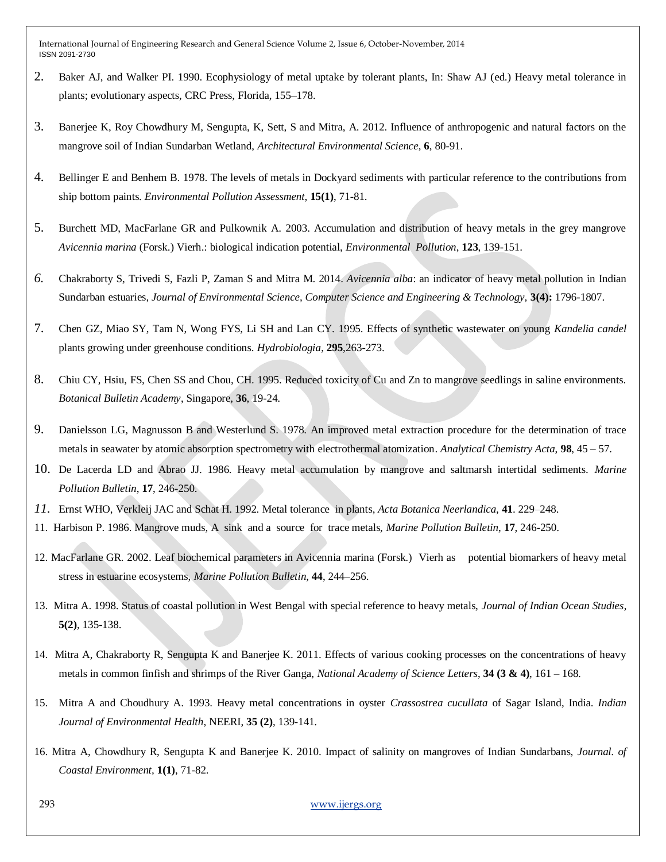- 2. Baker AJ, and Walker PI. 1990. Ecophysiology of metal uptake by tolerant plants, In: Shaw AJ (ed.) Heavy metal tolerance in plants; evolutionary aspects, CRC Press, Florida, 155–178.
- 3. Banerjee K, Roy Chowdhury M, Sengupta, K, Sett, S and Mitra, A. 2012. Influence of anthropogenic and natural factors on the mangrove soil of Indian Sundarban Wetland, *Architectural Environmental Science*, **6**, 80-91.
- 4. Bellinger E and Benhem B. 1978. The levels of metals in Dockyard sediments with particular reference to the contributions from ship bottom paints. *Environmental Pollution Assessment*, **15(1)**, 71-81.
- 5. Burchett MD, MacFarlane GR and Pulkownik A. 2003. Accumulation and distribution of heavy metals in the grey mangrove *Avicennia marina* (Forsk.) Vierh.: biological indication potential, *Environmental Pollution*, **123**, 139-151.
- *6.* Chakraborty S, Trivedi S, Fazli P, Zaman S and Mitra M. 2014. *Avicennia alba*: an indicator of heavy metal pollution in Indian Sundarban estuaries, *Journal of Environmental Science, Computer Science and Engineering & Technology,* **3(4):** 1796-1807.
- 7. Chen GZ, Miao SY, Tam N, Wong FYS, Li SH and Lan CY. 1995. Effects of synthetic wastewater on young *Kandelia candel*  plants growing under greenhouse conditions. *Hydrobiologia*, **295**,263-273.
- 8. Chiu CY, Hsiu, FS, Chen SS and Chou, CH. 1995. Reduced toxicity of Cu and Zn to mangrove seedlings in saline environments. *Botanical Bulletin Academy*, Singapore, **36**, 19-24.
- 9. Danielsson LG*,* Magnusson B and Westerlund S. 1978. An improved metal extraction procedure for the determination of trace metals in seawater by atomic absorption spectrometry with electrothermal atomization. *Analytical Chemistry Acta*, **98**, 45 – 57.
- 10. De Lacerda LD and Abrao JJ. 1986. Heavy metal accumulation by mangrove and saltmarsh intertidal sediments. *Marine Pollution Bulletin*, **17**, 246-250.
- *11.* Ernst WHO, Verkleij JAC and Schat H. 1992. Metal tolerance in plants, *Acta Botanica Neerlandica,* **41**. 229–248.
- 11. Harbison P. 1986. Mangrove muds, A sink and a source for trace metals, *Marine Pollution Bulletin*, **17**, 246-250.
- 12. MacFarlane GR. 2002. Leaf biochemical parameters in Avicennia marina (Forsk.) Vierh as potential biomarkers of heavy metal stress in estuarine ecosystems, *Marine Pollution Bulletin*, **44**, 244–256.
- 13. Mitra A. 1998. Status of coastal pollution in West Bengal with special reference to heavy metals, *Journal of Indian Ocean Studies*, **5(2)**, 135-138.
- 14. Mitra A, Chakraborty R, Sengupta K and Banerjee K. 2011. Effects of various cooking processes on the concentrations of heavy metals in common finfish and shrimps of the River Ganga, *National Academy of Science Letters*, **34 (3 & 4)**, 161 – 168.
- 15. Mitra A and Choudhury A. 1993. Heavy metal concentrations in oyster *Crassostrea cucullata* of Sagar Island, India. *Indian Journal of Environmental Health*, NEERI, **35 (2)**, 139-141.
- 16. Mitra A, Chowdhury R, Sengupta K and Banerjee K. 2010. Impact of salinity on mangroves of Indian Sundarbans, *Journal. of Coastal Environment,* **1(1)**, 71-82.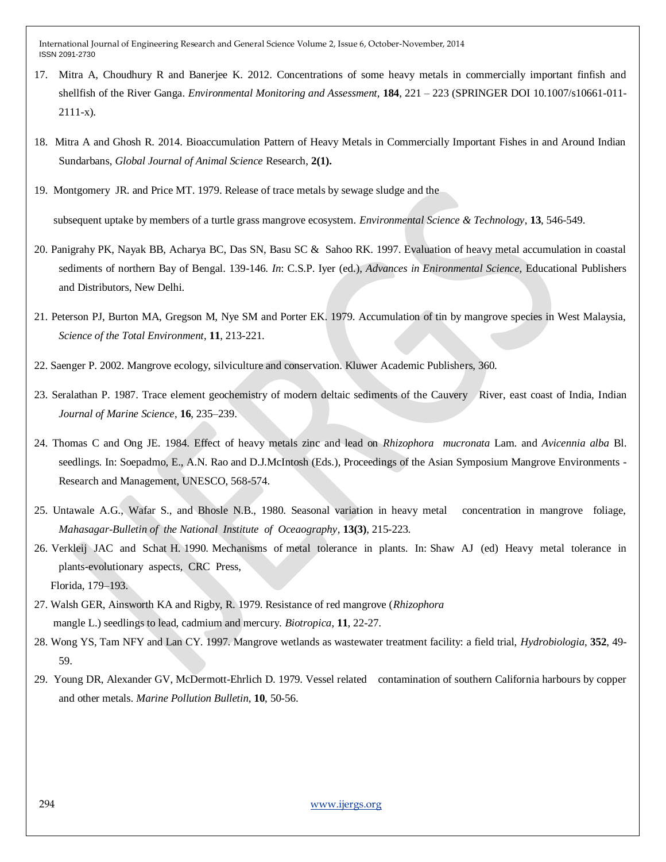- 17. Mitra A, Choudhury R and Banerjee K. 2012. Concentrations of some heavy metals in commercially important finfish and shellfish of the River Ganga. *Environmental Monitoring and Assessment,* **184**, 221 – 223 (SPRINGER DOI 10.1007/s10661-011- 2111-x).
- 18. Mitra A and Ghosh R. 2014. Bioaccumulation Pattern of Heavy Metals in Commercially Important Fishes in and Around Indian Sundarbans, *Global Journal of Animal Science* Research, **2(1).**
- 19. Montgomery JR. and Price MT. 1979. Release of trace metals by sewage sludge and the

subsequent uptake by members of a turtle grass mangrove ecosystem. *Environmental Science & Technology*, **13**, 546-549.

- 20. Panigrahy PK, Nayak BB, Acharya BC, Das SN, Basu SC & Sahoo RK. 1997. Evaluation of heavy metal accumulation in coastal sediments of northern Bay of Bengal. 139-146. *In*: C.S.P. Iyer (ed.), *Advances in Enironmental Science,* Educational Publishers and Distributors, New Delhi.
- 21. Peterson PJ, Burton MA, Gregson M, Nye SM and Porter EK. 1979. Accumulation of tin by mangrove species in West Malaysia, *Science of the Total Environment*, **11**, 213-221.
- 22. Saenger P. 2002. Mangrove ecology, silviculture and conservation. Kluwer Academic Publishers, 360.
- 23. Seralathan P. 1987. Trace element geochemistry of modern deltaic sediments of the Cauvery River, east coast of India, Indian *Journal of Marine Science*, **16**, 235–239.
- 24. Thomas C and Ong JE. 1984. Effect of heavy metals zinc and lead on *Rhizophora mucronata* Lam. and *Avicennia alba* Bl. seedlings. In: Soepadmo, E., A.N. Rao and D.J.McIntosh (Eds.), Proceedings of the Asian Symposium Mangrove Environments - Research and Management, UNESCO, 568-574.
- 25. Untawale A.G., Wafar S., and Bhosle N.B., 1980. Seasonal variation in heavy metal concentration in mangrove foliage, *Mahasagar-Bulletin of the National Institute of Oceaography*, **13(3)**, 215-223.
- 26. Verkleij JAC and Schat H. 1990. Mechanisms of metal tolerance in plants. In: Shaw AJ (ed) Heavy metal tolerance in plants-evolutionary aspects, CRC Press, Florida, 179–193.
- 27. Walsh GER, Ainsworth KA and Rigby, R. 1979. Resistance of red mangrove (*Rhizophora* mangle L.) seedlings to lead, cadmium and mercury. *Biotropica*, **11**, 22-27.
- 28. Wong YS, Tam NFY and Lan CY. 1997. Mangrove wetlands as wastewater treatment facility: a field trial, *Hydrobiologia*, **352**, 49- 59.
- 29. Young DR, Alexander GV, McDermott-Ehrlich D. 1979. Vessel related contamination of southern California harbours by copper and other metals. *Marine Pollution Bulletin*, **10**, 50-56.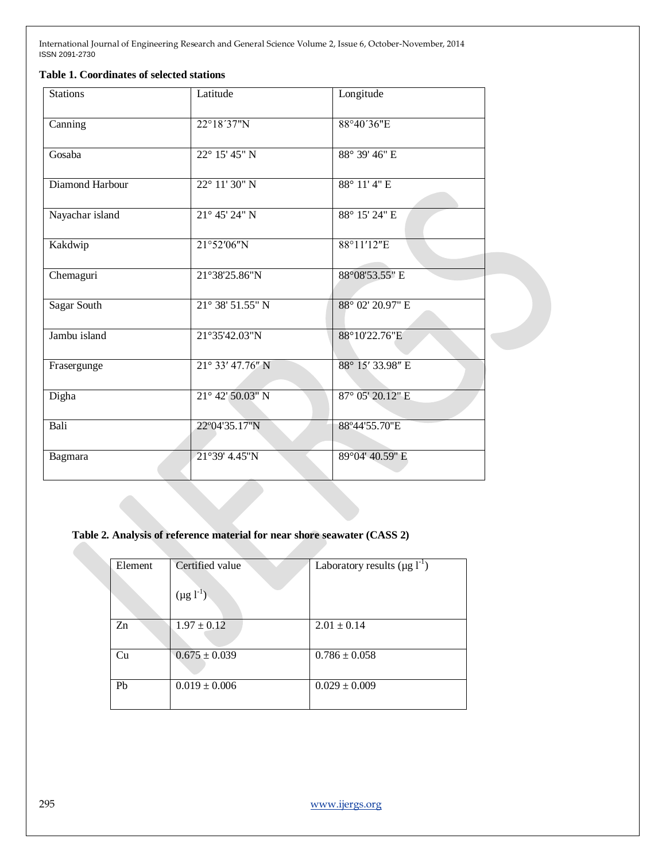## **Table 1. Coordinates of selected stations**

| <b>Stations</b>    | Latitude                  | Longitude        |  |
|--------------------|---------------------------|------------------|--|
| Canning            | 22°18'37"N                | 88°40'36"E       |  |
| Gosaba             | 22° 15' 45" N             | 88° 39' 46" E    |  |
| Diamond Harbour    | $22^{\circ}$ 11' 30" N    | 88° 11' 4" E     |  |
| Nayachar island    | $21^{\circ}$ 45' 24" N    | 88° 15' 24" E    |  |
| Kakdwip            | 21°52'06"N                | 88°11'12"E       |  |
| Chemaguri          | 21°38'25.86"N             | 88°08'53.55" E   |  |
| <b>Sagar South</b> | 21° 38' 51.55" N          | 88° 02' 20.97" E |  |
| Jambu island       | 21°35'42.03"N             | 88°10'22.76"E    |  |
| Frasergunge        | $21^{\circ}$ 33' 47.76" N | 88° 15' 33.98" E |  |
| Digha              | $21^{\circ}$ 42' 50.03" N | 87° 05' 20.12" E |  |
| Bali               | 22°04'35.17"N             | 88°44'55.70"E    |  |
| Bagmara            | 21°39' 4.45"N             | 89°04' 40.59" E  |  |
|                    |                           |                  |  |

## **Table 2. Analysis of reference material for near shore seawater (CASS 2)**

| Element        | Certified value<br>$(\mu g l^{-1})$ | Laboratory results ( $\mu$ g l <sup>-1</sup> ) |
|----------------|-------------------------------------|------------------------------------------------|
| Z <sub>n</sub> | $1.97 \pm 0.12$                     | $2.01 \pm 0.14$                                |
| Cu             | $0.675 \pm 0.039$                   | $0.786 \pm 0.058$                              |
| Pb             | $0.019 \pm 0.006$                   | $0.029 \pm 0.009$                              |

295 [www.ijergs.org](http://www.ijergs.org/)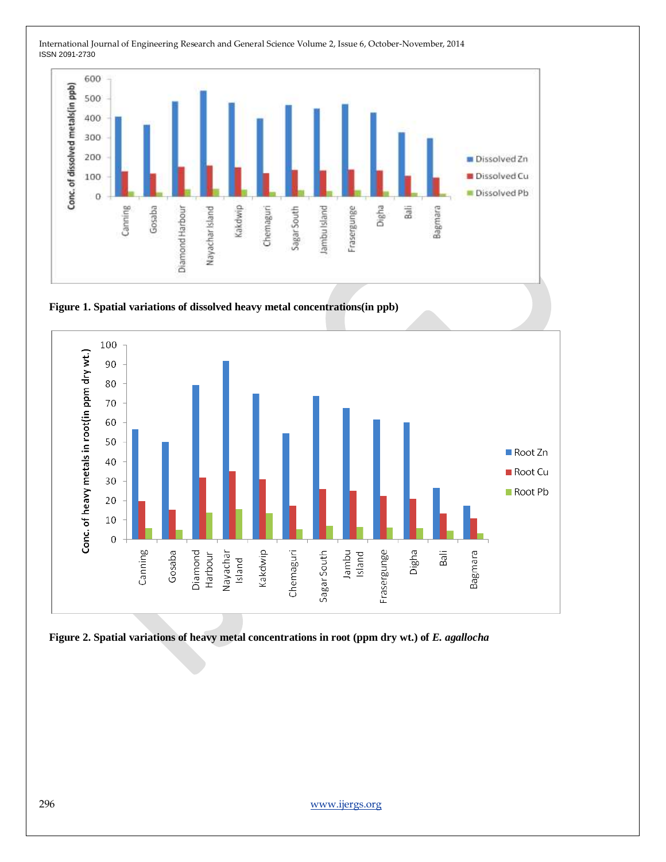

**Figure 1. Spatial variations of dissolved heavy metal concentrations(in ppb)**



Figure 2. Spatial variations of heavy metal concentrations in root (ppm dry wt.) of *E. agallocha*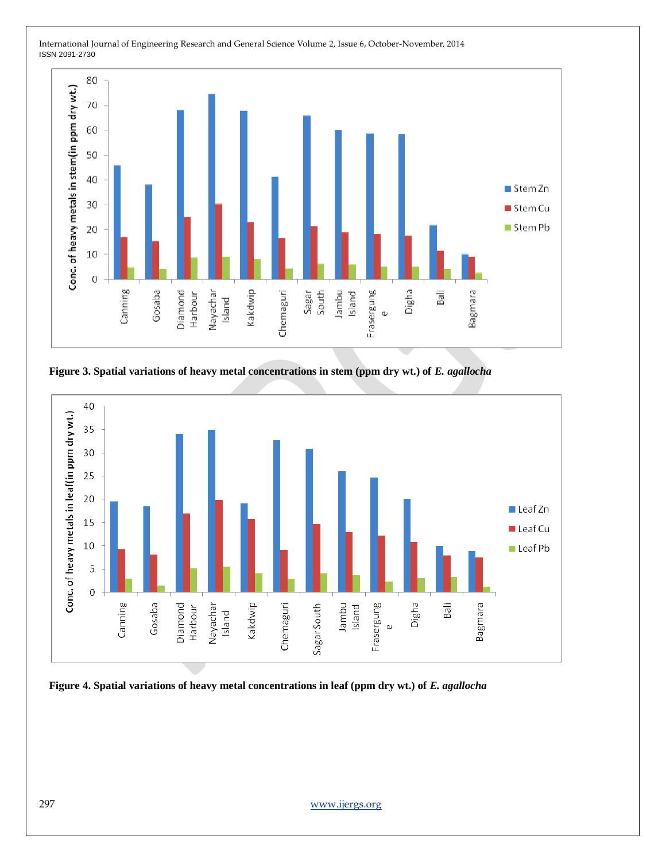

**Figure 3. Spatial variations of heavy metal concentrations in stem (ppm dry wt.) of** *E. agallocha*



**Figure 4. Spatial variations of heavy metal concentrations in leaf (ppm dry wt.) of** *E. agallocha*